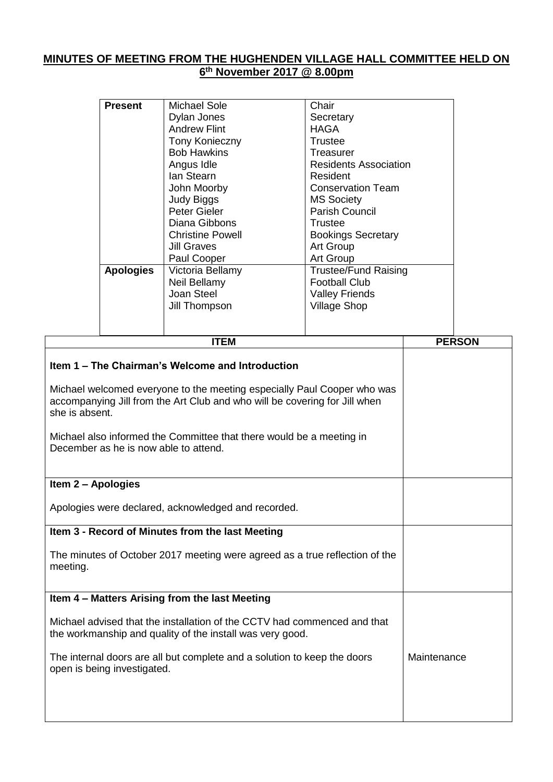## **MINUTES OF MEETING FROM THE HUGHENDEN VILLAGE HALL COMMITTEE HELD ON 6 th November 2017 @ 8.00pm**

| <b>Present</b>   | Michael Sole            | Chair                        |
|------------------|-------------------------|------------------------------|
|                  |                         |                              |
|                  | Dylan Jones             | Secretary                    |
|                  | <b>Andrew Flint</b>     | HAGA                         |
|                  | <b>Tony Konieczny</b>   | Trustee                      |
|                  | <b>Bob Hawkins</b>      | Treasurer                    |
|                  | Angus Idle              | <b>Residents Association</b> |
|                  | lan Stearn              | Resident                     |
|                  | John Moorby             | <b>Conservation Team</b>     |
|                  | <b>Judy Biggs</b>       | <b>MS Society</b>            |
|                  | Peter Gieler            | <b>Parish Council</b>        |
|                  | Diana Gibbons           | Trustee                      |
|                  | <b>Christine Powell</b> | <b>Bookings Secretary</b>    |
|                  | <b>Jill Graves</b>      | Art Group                    |
|                  | Paul Cooper             | Art Group                    |
| <b>Apologies</b> | Victoria Bellamy        | <b>Trustee/Fund Raising</b>  |
|                  | Neil Bellamy            | <b>Football Club</b>         |
|                  | Joan Steel              | <b>Valley Friends</b>        |
|                  | Jill Thompson           | <b>Village Shop</b>          |
|                  |                         |                              |
|                  |                         |                              |
|                  |                         |                              |

| <b>ITEM</b>                                                                                                                                                             | <b>PERSON</b> |
|-------------------------------------------------------------------------------------------------------------------------------------------------------------------------|---------------|
| Item 1 – The Chairman's Welcome and Introduction                                                                                                                        |               |
| Michael welcomed everyone to the meeting especially Paul Cooper who was<br>accompanying Jill from the Art Club and who will be covering for Jill when<br>she is absent. |               |
| Michael also informed the Committee that there would be a meeting in<br>December as he is now able to attend.                                                           |               |
| Item 2 - Apologies                                                                                                                                                      |               |
| Apologies were declared, acknowledged and recorded.                                                                                                                     |               |
| Item 3 - Record of Minutes from the last Meeting                                                                                                                        |               |
| The minutes of October 2017 meeting were agreed as a true reflection of the<br>meeting.                                                                                 |               |
| Item 4 - Matters Arising from the last Meeting                                                                                                                          |               |
| Michael advised that the installation of the CCTV had commenced and that<br>the workmanship and quality of the install was very good.                                   |               |
| The internal doors are all but complete and a solution to keep the doors<br>open is being investigated.                                                                 | Maintenance   |
|                                                                                                                                                                         |               |
|                                                                                                                                                                         |               |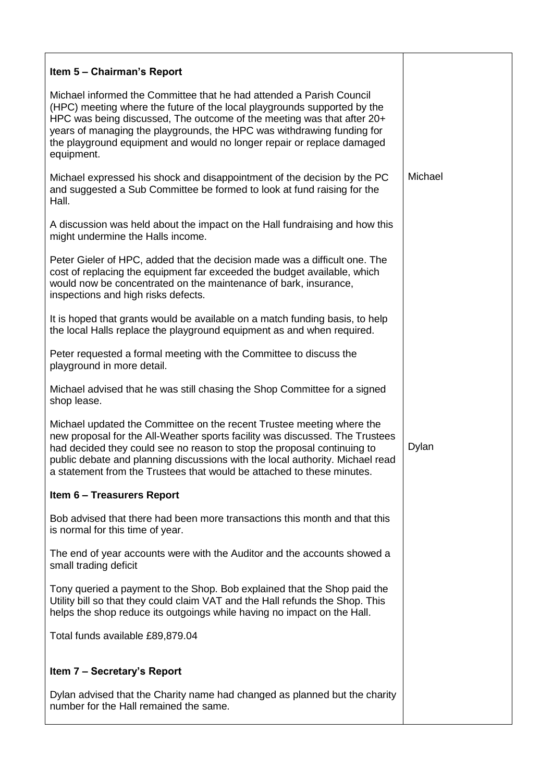| Item 5 – Chairman's Report                                                                                                                                                                                                                                                                                                                                                                   |         |
|----------------------------------------------------------------------------------------------------------------------------------------------------------------------------------------------------------------------------------------------------------------------------------------------------------------------------------------------------------------------------------------------|---------|
| Michael informed the Committee that he had attended a Parish Council<br>(HPC) meeting where the future of the local playgrounds supported by the<br>HPC was being discussed, The outcome of the meeting was that after 20+<br>years of managing the playgrounds, the HPC was withdrawing funding for<br>the playground equipment and would no longer repair or replace damaged<br>equipment. |         |
| Michael expressed his shock and disappointment of the decision by the PC<br>and suggested a Sub Committee be formed to look at fund raising for the<br>Hall.                                                                                                                                                                                                                                 | Michael |
| A discussion was held about the impact on the Hall fundraising and how this<br>might undermine the Halls income.                                                                                                                                                                                                                                                                             |         |
| Peter Gieler of HPC, added that the decision made was a difficult one. The<br>cost of replacing the equipment far exceeded the budget available, which<br>would now be concentrated on the maintenance of bark, insurance,<br>inspections and high risks defects.                                                                                                                            |         |
| It is hoped that grants would be available on a match funding basis, to help<br>the local Halls replace the playground equipment as and when required.                                                                                                                                                                                                                                       |         |
| Peter requested a formal meeting with the Committee to discuss the<br>playground in more detail.                                                                                                                                                                                                                                                                                             |         |
| Michael advised that he was still chasing the Shop Committee for a signed<br>shop lease.                                                                                                                                                                                                                                                                                                     |         |
| Michael updated the Committee on the recent Trustee meeting where the<br>new proposal for the All-Weather sports facility was discussed. The Trustees<br>had decided they could see no reason to stop the proposal continuing to<br>public debate and planning discussions with the local authority. Michael read<br>a statement from the Trustees that would be attached to these minutes.  | Dylan   |
| Item 6 - Treasurers Report                                                                                                                                                                                                                                                                                                                                                                   |         |
| Bob advised that there had been more transactions this month and that this<br>is normal for this time of year.                                                                                                                                                                                                                                                                               |         |
| The end of year accounts were with the Auditor and the accounts showed a<br>small trading deficit                                                                                                                                                                                                                                                                                            |         |
| Tony queried a payment to the Shop. Bob explained that the Shop paid the<br>Utility bill so that they could claim VAT and the Hall refunds the Shop. This<br>helps the shop reduce its outgoings while having no impact on the Hall.                                                                                                                                                         |         |
| Total funds available £89,879.04                                                                                                                                                                                                                                                                                                                                                             |         |
| Item 7 – Secretary's Report                                                                                                                                                                                                                                                                                                                                                                  |         |
| Dylan advised that the Charity name had changed as planned but the charity<br>number for the Hall remained the same.                                                                                                                                                                                                                                                                         |         |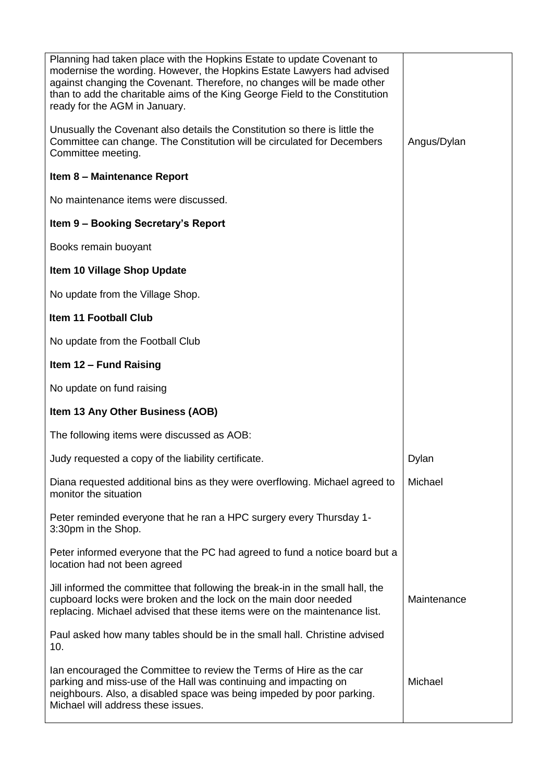| Planning had taken place with the Hopkins Estate to update Covenant to<br>modernise the wording. However, the Hopkins Estate Lawyers had advised<br>against changing the Covenant. Therefore, no changes will be made other<br>than to add the charitable aims of the King George Field to the Constitution<br>ready for the AGM in January.<br>Unusually the Covenant also details the Constitution so there is little the<br>Committee can change. The Constitution will be circulated for Decembers | Angus/Dylan |
|--------------------------------------------------------------------------------------------------------------------------------------------------------------------------------------------------------------------------------------------------------------------------------------------------------------------------------------------------------------------------------------------------------------------------------------------------------------------------------------------------------|-------------|
| Committee meeting.                                                                                                                                                                                                                                                                                                                                                                                                                                                                                     |             |
| Item 8 - Maintenance Report                                                                                                                                                                                                                                                                                                                                                                                                                                                                            |             |
| No maintenance items were discussed.                                                                                                                                                                                                                                                                                                                                                                                                                                                                   |             |
| Item 9 - Booking Secretary's Report                                                                                                                                                                                                                                                                                                                                                                                                                                                                    |             |
| Books remain buoyant                                                                                                                                                                                                                                                                                                                                                                                                                                                                                   |             |
| Item 10 Village Shop Update                                                                                                                                                                                                                                                                                                                                                                                                                                                                            |             |
| No update from the Village Shop.                                                                                                                                                                                                                                                                                                                                                                                                                                                                       |             |
| Item 11 Football Club                                                                                                                                                                                                                                                                                                                                                                                                                                                                                  |             |
| No update from the Football Club                                                                                                                                                                                                                                                                                                                                                                                                                                                                       |             |
| Item 12 - Fund Raising                                                                                                                                                                                                                                                                                                                                                                                                                                                                                 |             |
| No update on fund raising                                                                                                                                                                                                                                                                                                                                                                                                                                                                              |             |
| Item 13 Any Other Business (AOB)                                                                                                                                                                                                                                                                                                                                                                                                                                                                       |             |
| The following items were discussed as AOB:                                                                                                                                                                                                                                                                                                                                                                                                                                                             |             |
| Judy requested a copy of the liability certificate.                                                                                                                                                                                                                                                                                                                                                                                                                                                    | Dylan       |
| Diana requested additional bins as they were overflowing. Michael agreed to<br>monitor the situation                                                                                                                                                                                                                                                                                                                                                                                                   | Michael     |
| Peter reminded everyone that he ran a HPC surgery every Thursday 1-<br>3:30pm in the Shop.                                                                                                                                                                                                                                                                                                                                                                                                             |             |
| Peter informed everyone that the PC had agreed to fund a notice board but a<br>location had not been agreed                                                                                                                                                                                                                                                                                                                                                                                            |             |
| Jill informed the committee that following the break-in in the small hall, the<br>cupboard locks were broken and the lock on the main door needed<br>replacing. Michael advised that these items were on the maintenance list.                                                                                                                                                                                                                                                                         | Maintenance |
| Paul asked how many tables should be in the small hall. Christine advised<br>10.                                                                                                                                                                                                                                                                                                                                                                                                                       |             |
| Ian encouraged the Committee to review the Terms of Hire as the car<br>parking and miss-use of the Hall was continuing and impacting on<br>neighbours. Also, a disabled space was being impeded by poor parking.<br>Michael will address these issues.                                                                                                                                                                                                                                                 | Michael     |